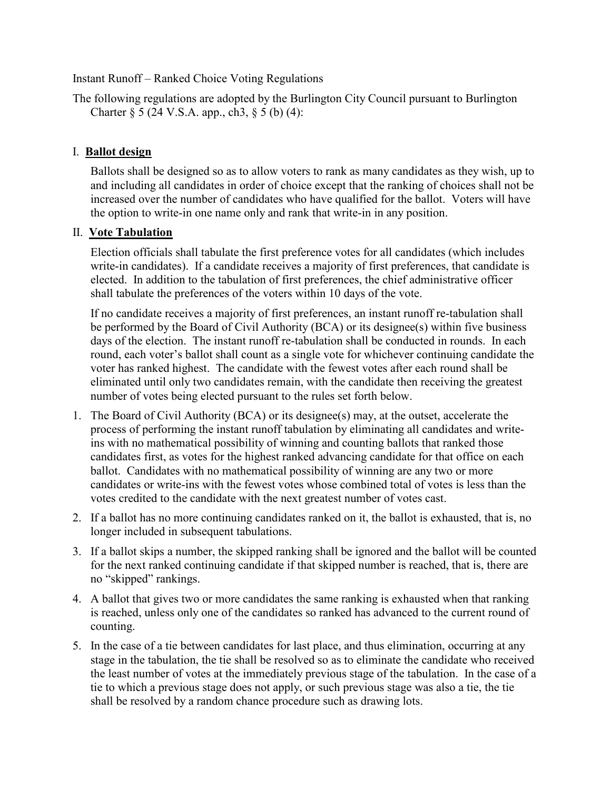## Instant Runoff – Ranked Choice Voting Regulations

The following regulations are adopted by the Burlington City Council pursuant to Burlington Charter  $\S 5$  (24 V.S.A. app., ch3,  $\S 5$  (b) (4):

## I. **Ballot design**

 Ballots shall be designed so as to allow voters to rank as many candidates as they wish, up to and including all candidates in order of choice except that the ranking of choices shall not be increased over the number of candidates who have qualified for the ballot. Voters will have the option to write-in one name only and rank that write-in in any position.

## II. **Vote Tabulation**

Election officials shall tabulate the first preference votes for all candidates (which includes write-in candidates). If a candidate receives a majority of first preferences, that candidate is elected. In addition to the tabulation of first preferences, the chief administrative officer shall tabulate the preferences of the voters within 10 days of the vote.

If no candidate receives a majority of first preferences, an instant runoff re-tabulation shall be performed by the Board of Civil Authority (BCA) or its designee(s) within five business days of the election. The instant runoff re-tabulation shall be conducted in rounds. In each round, each voter's ballot shall count as a single vote for whichever continuing candidate the voter has ranked highest. The candidate with the fewest votes after each round shall be eliminated until only two candidates remain, with the candidate then receiving the greatest number of votes being elected pursuant to the rules set forth below.

- 1. The Board of Civil Authority (BCA) or its designee(s) may, at the outset, accelerate the process of performing the instant runoff tabulation by eliminating all candidates and writeins with no mathematical possibility of winning and counting ballots that ranked those candidates first, as votes for the highest ranked advancing candidate for that office on each ballot. Candidates with no mathematical possibility of winning are any two or more candidates or write-ins with the fewest votes whose combined total of votes is less than the votes credited to the candidate with the next greatest number of votes cast.
- 2. If a ballot has no more continuing candidates ranked on it, the ballot is exhausted, that is, no longer included in subsequent tabulations.
- 3. If a ballot skips a number, the skipped ranking shall be ignored and the ballot will be counted for the next ranked continuing candidate if that skipped number is reached, that is, there are no "skipped" rankings.
- 4. A ballot that gives two or more candidates the same ranking is exhausted when that ranking is reached, unless only one of the candidates so ranked has advanced to the current round of counting.
- 5. In the case of a tie between candidates for last place, and thus elimination, occurring at any stage in the tabulation, the tie shall be resolved so as to eliminate the candidate who received the least number of votes at the immediately previous stage of the tabulation. In the case of a tie to which a previous stage does not apply, or such previous stage was also a tie, the tie shall be resolved by a random chance procedure such as drawing lots.